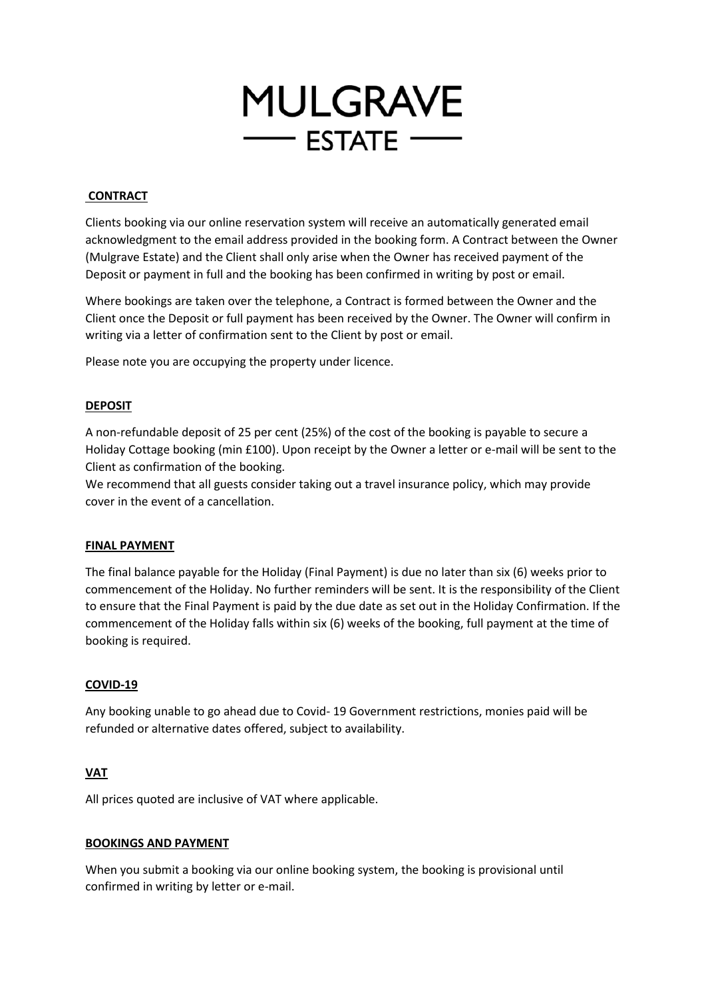

# **CONTRACT**

Clients booking via our online reservation system will receive an automatically generated email acknowledgment to the email address provided in the booking form. A Contract between the Owner (Mulgrave Estate) and the Client shall only arise when the Owner has received payment of the Deposit or payment in full and the booking has been confirmed in writing by post or email.

Where bookings are taken over the telephone, a Contract is formed between the Owner and the Client once the Deposit or full payment has been received by the Owner. The Owner will confirm in writing via a letter of confirmation sent to the Client by post or email.

Please note you are occupying the property under licence.

### **DEPOSIT**

A non-refundable deposit of 25 per cent (25%) of the cost of the booking is payable to secure a Holiday Cottage booking (min £100). Upon receipt by the Owner a letter or e-mail will be sent to the Client as confirmation of the booking.

We recommend that all guests consider taking out a travel insurance policy, which may provide cover in the event of a cancellation.

### **FINAL PAYMENT**

The final balance payable for the Holiday (Final Payment) is due no later than six (6) weeks prior to commencement of the Holiday. No further reminders will be sent. It is the responsibility of the Client to ensure that the Final Payment is paid by the due date as set out in the Holiday Confirmation. If the commencement of the Holiday falls within six (6) weeks of the booking, full payment at the time of booking is required.

### **COVID-19**

Any booking unable to go ahead due to Covid- 19 Government restrictions, monies paid will be refunded or alternative dates offered, subject to availability.

### **VAT**

All prices quoted are inclusive of VAT where applicable.

### **BOOKINGS AND PAYMENT**

When you submit a booking via our online booking system, the booking is provisional until confirmed in writing by letter or e-mail.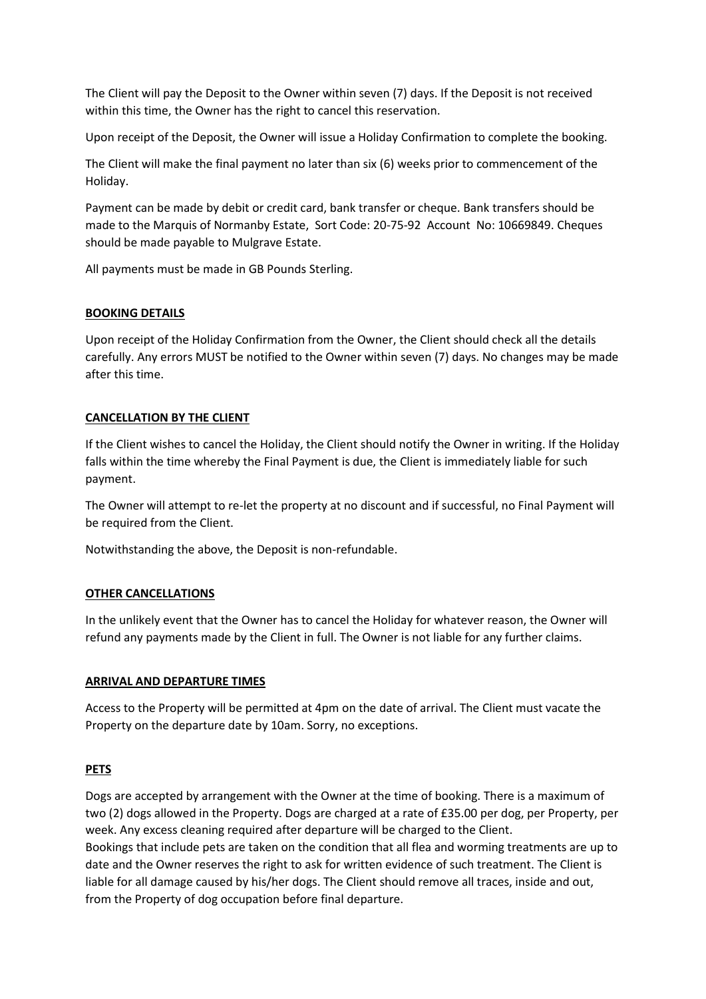The Client will pay the Deposit to the Owner within seven (7) days. If the Deposit is not received within this time, the Owner has the right to cancel this reservation.

Upon receipt of the Deposit, the Owner will issue a Holiday Confirmation to complete the booking.

The Client will make the final payment no later than six (6) weeks prior to commencement of the Holiday.

Payment can be made by debit or credit card, bank transfer or cheque. Bank transfers should be made to the Marquis of Normanby Estate, Sort Code: 20-75-92 Account No: 10669849. Cheques should be made payable to Mulgrave Estate.

All payments must be made in GB Pounds Sterling.

# **BOOKING DETAILS**

Upon receipt of the Holiday Confirmation from the Owner, the Client should check all the details carefully. Any errors MUST be notified to the Owner within seven (7) days. No changes may be made after this time.

# **CANCELLATION BY THE CLIENT**

If the Client wishes to cancel the Holiday, the Client should notify the Owner in writing. If the Holiday falls within the time whereby the Final Payment is due, the Client is immediately liable for such payment.

The Owner will attempt to re-let the property at no discount and if successful, no Final Payment will be required from the Client.

Notwithstanding the above, the Deposit is non-refundable.

# **OTHER CANCELLATIONS**

In the unlikely event that the Owner has to cancel the Holiday for whatever reason, the Owner will refund any payments made by the Client in full. The Owner is not liable for any further claims.

### **ARRIVAL AND DEPARTURE TIMES**

Access to the Property will be permitted at 4pm on the date of arrival. The Client must vacate the Property on the departure date by 10am. Sorry, no exceptions.

### **PETS**

Dogs are accepted by arrangement with the Owner at the time of booking. There is a maximum of two (2) dogs allowed in the Property. Dogs are charged at a rate of £35.00 per dog, per Property, per week. Any excess cleaning required after departure will be charged to the Client. Bookings that include pets are taken on the condition that all flea and worming treatments are up to date and the Owner reserves the right to ask for written evidence of such treatment. The Client is liable for all damage caused by his/her dogs. The Client should remove all traces, inside and out, from the Property of dog occupation before final departure.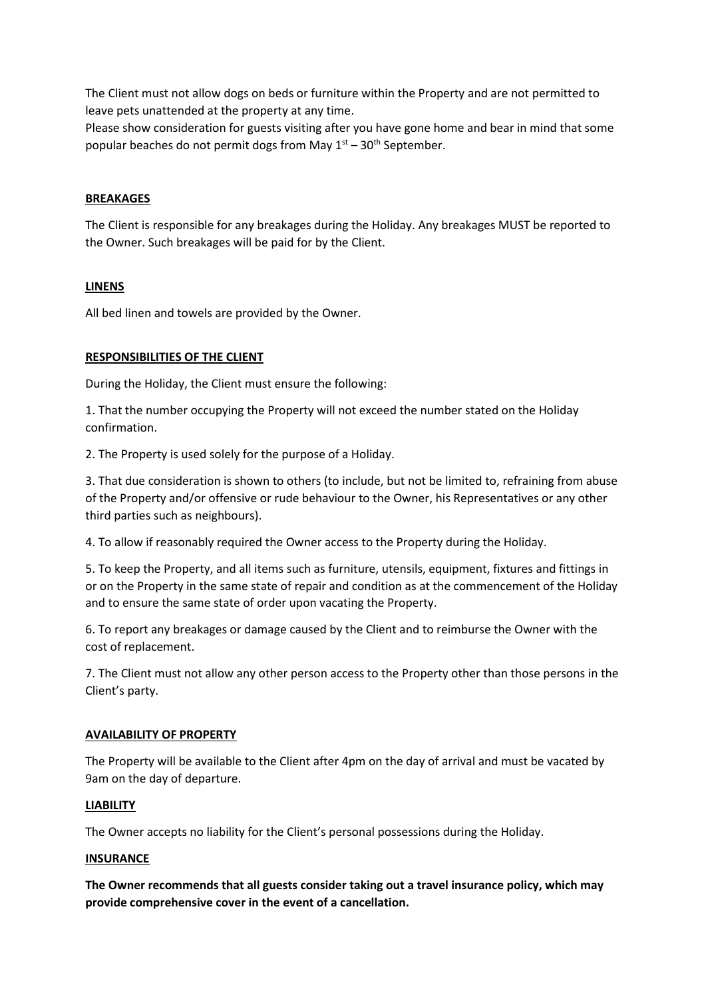The Client must not allow dogs on beds or furniture within the Property and are not permitted to leave pets unattended at the property at any time.

Please show consideration for guests visiting after you have gone home and bear in mind that some popular beaches do not permit dogs from May  $1<sup>st</sup> - 30<sup>th</sup>$  September.

### **BREAKAGES**

The Client is responsible for any breakages during the Holiday. Any breakages MUST be reported to the Owner. Such breakages will be paid for by the Client.

#### **LINENS**

All bed linen and towels are provided by the Owner.

### **RESPONSIBILITIES OF THE CLIENT**

During the Holiday, the Client must ensure the following:

1. That the number occupying the Property will not exceed the number stated on the Holiday confirmation.

2. The Property is used solely for the purpose of a Holiday.

3. That due consideration is shown to others (to include, but not be limited to, refraining from abuse of the Property and/or offensive or rude behaviour to the Owner, his Representatives or any other third parties such as neighbours).

4. To allow if reasonably required the Owner access to the Property during the Holiday.

5. To keep the Property, and all items such as furniture, utensils, equipment, fixtures and fittings in or on the Property in the same state of repair and condition as at the commencement of the Holiday and to ensure the same state of order upon vacating the Property.

6. To report any breakages or damage caused by the Client and to reimburse the Owner with the cost of replacement.

7. The Client must not allow any other person access to the Property other than those persons in the Client's party.

#### **AVAILABILITY OF PROPERTY**

The Property will be available to the Client after 4pm on the day of arrival and must be vacated by 9am on the day of departure.

#### **LIABILITY**

The Owner accepts no liability for the Client's personal possessions during the Holiday.

#### **INSURANCE**

**The Owner recommends that all guests consider taking out a travel insurance policy, which may provide comprehensive cover in the event of a cancellation.**